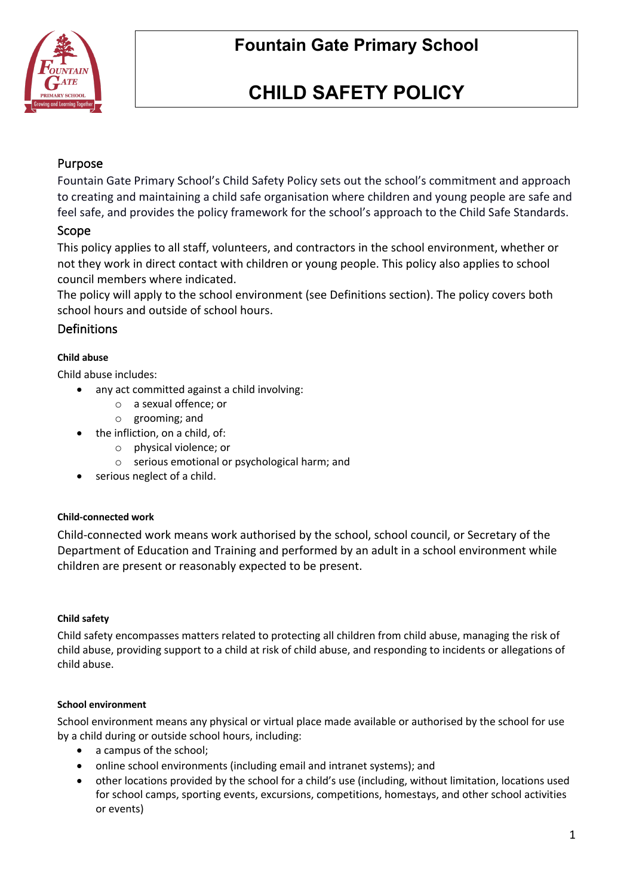

# **CHILD SAFETY POLICY**

## Purpose

Fountain Gate Primary School's Child Safety Policy sets out the school's commitment and approach to creating and maintaining a child safe organisation where children and young people are safe and feel safe, and provides the policy framework for the school's approach to the Child Safe Standards.

## Scope

This policy applies to all staff, volunteers, and contractors in the school environment, whether or not they work in direct contact with children or young people. This policy also applies to school council members where indicated.

The policy will apply to the school environment (see Definitions section). The policy covers both school hours and outside of school hours.

# **Definitions**

#### **Child abuse**

Child abuse includes:

- any act committed against a child involving:
	- o a sexual offence; or
	- o grooming; and
- the infliction, on a child, of:
	- o physical violence; or
	- o serious emotional or psychological harm; and
- serious neglect of a child.

#### **Child-connected work**

Child-connected work means work authorised by the school, school council, or Secretary of the Department of Education and Training and performed by an adult in a school environment while children are present or reasonably expected to be present.

#### **Child safety**

Child safety encompasses matters related to protecting all children from child abuse, managing the risk of child abuse, providing support to a child at risk of child abuse, and responding to incidents or allegations of child abuse.

#### **School environment**

School environment means any physical or virtual place made available or authorised by the school for use by a child during or outside school hours, including:

- a campus of the school;
- online school environments (including email and intranet systems); and
- other locations provided by the school for a child's use (including, without limitation, locations used for school camps, sporting events, excursions, competitions, homestays, and other school activities or events)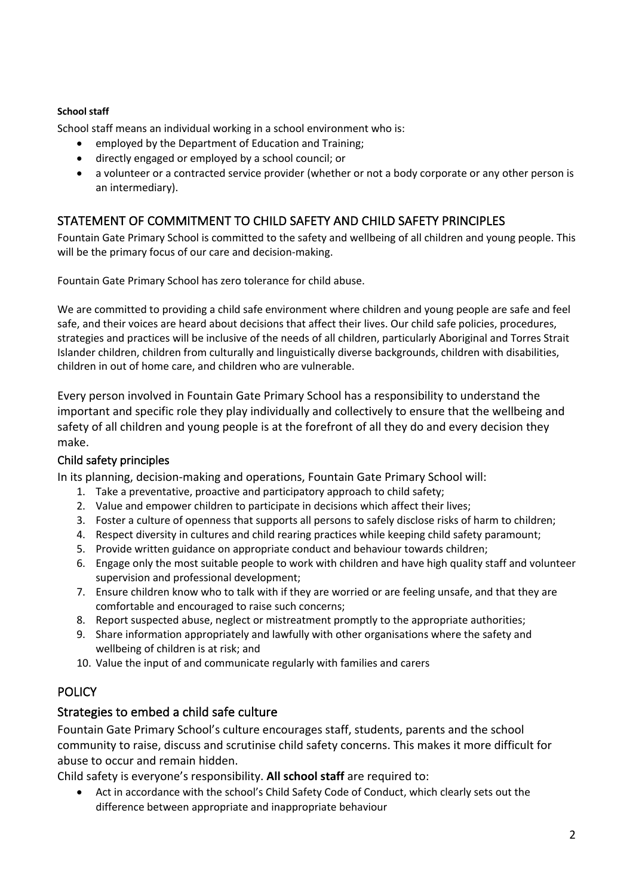#### **School staff**

School staff means an individual working in a school environment who is:

- employed by the Department of Education and Training;
- directly engaged or employed by a school council; or
- a volunteer or a contracted service provider (whether or not a body corporate or any other person is an intermediary).

# STATEMENT OF COMMITMENT TO CHILD SAFETY AND CHILD SAFETY PRINCIPLES

Fountain Gate Primary School is committed to the safety and wellbeing of all children and young people. This will be the primary focus of our care and decision-making.

Fountain Gate Primary School has zero tolerance for child abuse.

We are committed to providing a child safe environment where children and young people are safe and feel safe, and their voices are heard about decisions that affect their lives. Our child safe policies, procedures, strategies and practices will be inclusive of the needs of all children, particularly Aboriginal and Torres Strait Islander children, children from culturally and linguistically diverse backgrounds, children with disabilities, children in out of home care, and children who are vulnerable.

Every person involved in Fountain Gate Primary School has a responsibility to understand the important and specific role they play individually and collectively to ensure that the wellbeing and safety of all children and young people is at the forefront of all they do and every decision they make.

#### Child safety principles

In its planning, decision-making and operations, Fountain Gate Primary School will:

- 1. Take a preventative, proactive and participatory approach to child safety;
- 2. Value and empower children to participate in decisions which affect their lives;
- 3. Foster a culture of openness that supports all persons to safely disclose risks of harm to children;
- 4. Respect diversity in cultures and child rearing practices while keeping child safety paramount;
- 5. Provide written guidance on appropriate conduct and behaviour towards children;
- 6. Engage only the most suitable people to work with children and have high quality staff and volunteer supervision and professional development;
- 7. Ensure children know who to talk with if they are worried or are feeling unsafe, and that they are comfortable and encouraged to raise such concerns;
- 8. Report suspected abuse, neglect or mistreatment promptly to the appropriate authorities;
- 9. Share information appropriately and lawfully with other organisations where the safety and wellbeing of children is at risk; and
- 10. Value the input of and communicate regularly with families and carers

## **POLICY**

#### Strategies to embed a child safe culture

Fountain Gate Primary School's culture encourages staff, students, parents and the school community to raise, discuss and scrutinise child safety concerns. This makes it more difficult for abuse to occur and remain hidden.

Child safety is everyone's responsibility. **All school staff** are required to:

• Act in accordance with the school's Child Safety Code of Conduct, which clearly sets out the difference between appropriate and inappropriate behaviour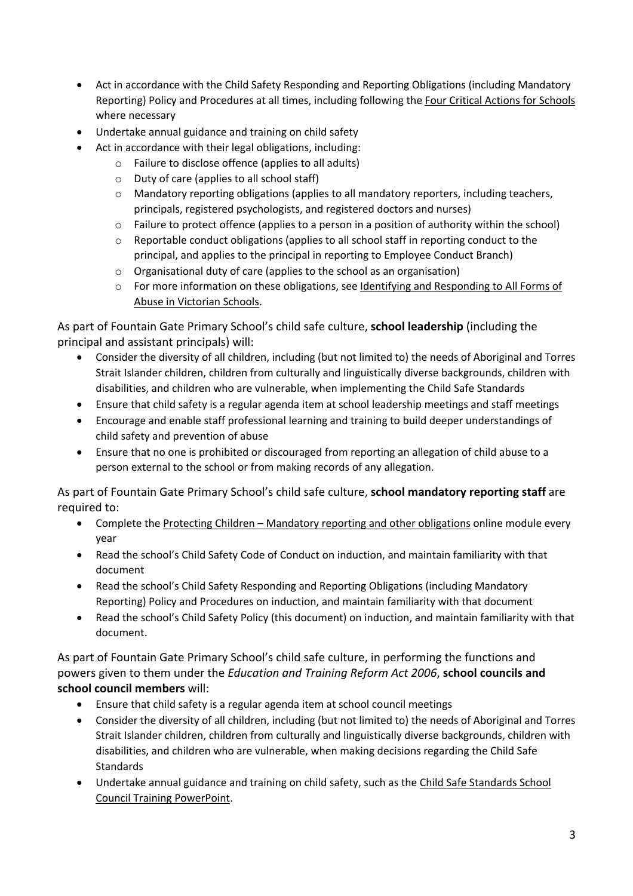- Act in accordance with the Child Safety Responding and Reporting Obligations (including Mandatory Reporting) Policy and Procedures at all times, including following the Four Critical Actions for Schools where necessary
- Undertake annual guidance and training on child safety
- Act in accordance with their legal obligations, including:
	- o Failure to disclose offence (applies to all adults)
	- o Duty of care (applies to all school staff)
	- $\circ$  Mandatory reporting obligations (applies to all mandatory reporters, including teachers, principals, registered psychologists, and registered doctors and nurses)
	- o Failure to protect offence (applies to a person in a position of authority within the school)
	- $\circ$  Reportable conduct obligations (applies to all school staff in reporting conduct to the principal, and applies to the principal in reporting to Employee Conduct Branch)
	- o Organisational duty of care (applies to the school as an organisation)
	- o For more information on these obligations, see Identifying and Responding to All Forms of Abuse in Victorian Schools.

As part of Fountain Gate Primary School's child safe culture, **school leadership** (including the principal and assistant principals) will:

- Consider the diversity of all children, including (but not limited to) the needs of Aboriginal and Torres Strait Islander children, children from culturally and linguistically diverse backgrounds, children with disabilities, and children who are vulnerable, when implementing the Child Safe Standards
- Ensure that child safety is a regular agenda item at school leadership meetings and staff meetings
- Encourage and enable staff professional learning and training to build deeper understandings of child safety and prevention of abuse
- Ensure that no one is prohibited or discouraged from reporting an allegation of child abuse to a person external to the school or from making records of any allegation.

As part of Fountain Gate Primary School's child safe culture, **school mandatory reporting staff** are required to:

- Complete the Protecting Children Mandatory reporting and other obligations online module every year
- Read the school's Child Safety Code of Conduct on induction, and maintain familiarity with that document
- Read the school's Child Safety Responding and Reporting Obligations (including Mandatory Reporting) Policy and Procedures on induction, and maintain familiarity with that document
- Read the school's Child Safety Policy (this document) on induction, and maintain familiarity with that document.

As part of Fountain Gate Primary School's child safe culture, in performing the functions and powers given to them under the *Education and Training Reform Act 2006*, **school councils and school council members** will:

- Ensure that child safety is a regular agenda item at school council meetings
- Consider the diversity of all children, including (but not limited to) the needs of Aboriginal and Torres Strait Islander children, children from culturally and linguistically diverse backgrounds, children with disabilities, and children who are vulnerable, when making decisions regarding the Child Safe **Standards**
- Undertake annual guidance and training on child safety, such as the Child Safe Standards School Council Training PowerPoint.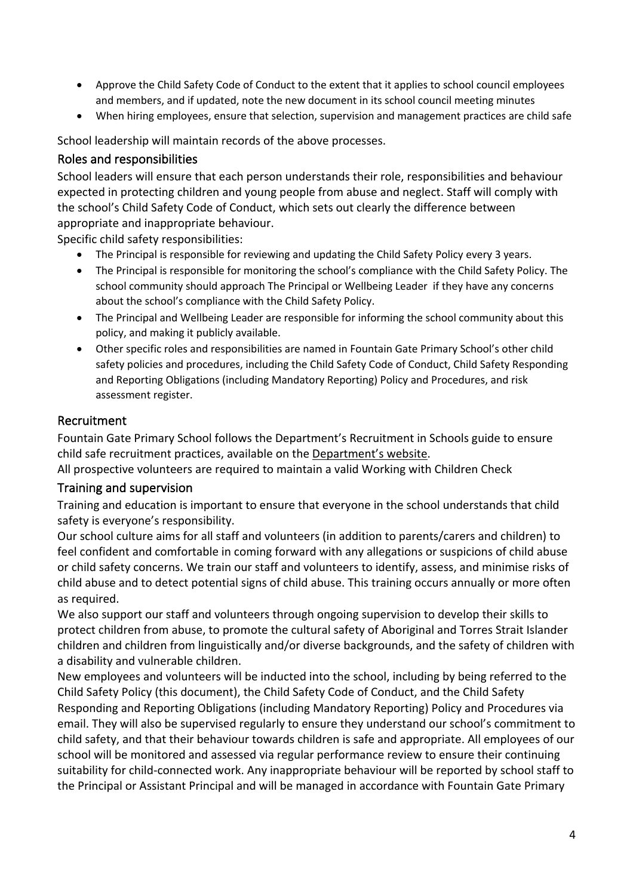- Approve the Child Safety Code of Conduct to the extent that it applies to school council employees and members, and if updated, note the new document in its school council meeting minutes
- When hiring employees, ensure that selection, supervision and management practices are child safe

School leadership will maintain records of the above processes.

## Roles and responsibilities

School leaders will ensure that each person understands their role, responsibilities and behaviour expected in protecting children and young people from abuse and neglect. Staff will comply with the school's Child Safety Code of Conduct, which sets out clearly the difference between appropriate and inappropriate behaviour.

Specific child safety responsibilities:

- The Principal is responsible for reviewing and updating the Child Safety Policy every 3 years.
- The Principal is responsible for monitoring the school's compliance with the Child Safety Policy. The school community should approach The Principal or Wellbeing Leader if they have any concerns about the school's compliance with the Child Safety Policy.
- The Principal and Wellbeing Leader are responsible for informing the school community about this policy, and making it publicly available.
- Other specific roles and responsibilities are named in Fountain Gate Primary School's other child safety policies and procedures, including the Child Safety Code of Conduct, Child Safety Responding and Reporting Obligations (including Mandatory Reporting) Policy and Procedures, and risk assessment register.

## Recruitment

Fountain Gate Primary School follows the Department's Recruitment in Schools guide to ensure child safe recruitment practices, available on the Department's website.

All prospective volunteers are required to maintain a valid Working with Children Check

## Training and supervision

Training and education is important to ensure that everyone in the school understands that child safety is everyone's responsibility.

Our school culture aims for all staff and volunteers (in addition to parents/carers and children) to feel confident and comfortable in coming forward with any allegations or suspicions of child abuse or child safety concerns. We train our staff and volunteers to identify, assess, and minimise risks of child abuse and to detect potential signs of child abuse. This training occurs annually or more often as required.

We also support our staff and volunteers through ongoing supervision to develop their skills to protect children from abuse, to promote the cultural safety of Aboriginal and Torres Strait Islander children and children from linguistically and/or diverse backgrounds, and the safety of children with a disability and vulnerable children.

New employees and volunteers will be inducted into the school, including by being referred to the Child Safety Policy (this document), the Child Safety Code of Conduct, and the Child Safety Responding and Reporting Obligations (including Mandatory Reporting) Policy and Procedures via email. They will also be supervised regularly to ensure they understand our school's commitment to child safety, and that their behaviour towards children is safe and appropriate. All employees of our school will be monitored and assessed via regular performance review to ensure their continuing suitability for child-connected work. Any inappropriate behaviour will be reported by school staff to the Principal or Assistant Principal and will be managed in accordance with Fountain Gate Primary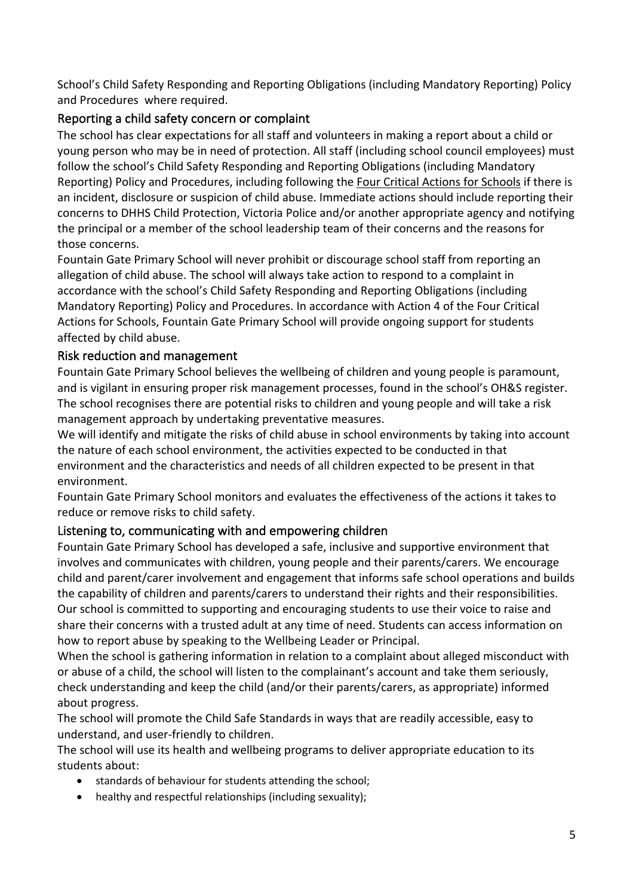School's Child Safety Responding and Reporting Obligations (including Mandatory Reporting) Policy and Procedures where required.

# Reporting a child safety concern or complaint

The school has clear expectations for all staff and volunteers in making a report about a child or young person who may be in need of protection. All staff (including school council employees) must follow the school's Child Safety Responding and Reporting Obligations (including Mandatory Reporting) Policy and Procedures, including following the Four Critical Actions for Schools if there is an incident, disclosure or suspicion of child abuse. Immediate actions should include reporting their concerns to DHHS Child Protection, Victoria Police and/or another appropriate agency and notifying the principal or a member of the school leadership team of their concerns and the reasons for those concerns.

Fountain Gate Primary School will never prohibit or discourage school staff from reporting an allegation of child abuse. The school will always take action to respond to a complaint in accordance with the school's Child Safety Responding and Reporting Obligations (including Mandatory Reporting) Policy and Procedures. In accordance with Action 4 of the Four Critical Actions for Schools, Fountain Gate Primary School will provide ongoing support for students affected by child abuse.

## Risk reduction and management

Fountain Gate Primary School believes the wellbeing of children and young people is paramount, and is vigilant in ensuring proper risk management processes, found in the school's OH&S register. The school recognises there are potential risks to children and young people and will take a risk management approach by undertaking preventative measures.

We will identify and mitigate the risks of child abuse in school environments by taking into account the nature of each school environment, the activities expected to be conducted in that environment and the characteristics and needs of all children expected to be present in that environment.

Fountain Gate Primary School monitors and evaluates the effectiveness of the actions it takes to reduce or remove risks to child safety.

## Listening to, communicating with and empowering children

Fountain Gate Primary School has developed a safe, inclusive and supportive environment that involves and communicates with children, young people and their parents/carers. We encourage child and parent/carer involvement and engagement that informs safe school operations and builds the capability of children and parents/carers to understand their rights and their responsibilities. Our school is committed to supporting and encouraging students to use their voice to raise and share their concerns with a trusted adult at any time of need. Students can access information on how to report abuse by speaking to the Wellbeing Leader or Principal.

When the school is gathering information in relation to a complaint about alleged misconduct with or abuse of a child, the school will listen to the complainant's account and take them seriously, check understanding and keep the child (and/or their parents/carers, as appropriate) informed about progress.

The school will promote the Child Safe Standards in ways that are readily accessible, easy to understand, and user-friendly to children.

The school will use its health and wellbeing programs to deliver appropriate education to its students about:

- standards of behaviour for students attending the school;
- healthy and respectful relationships (including sexuality);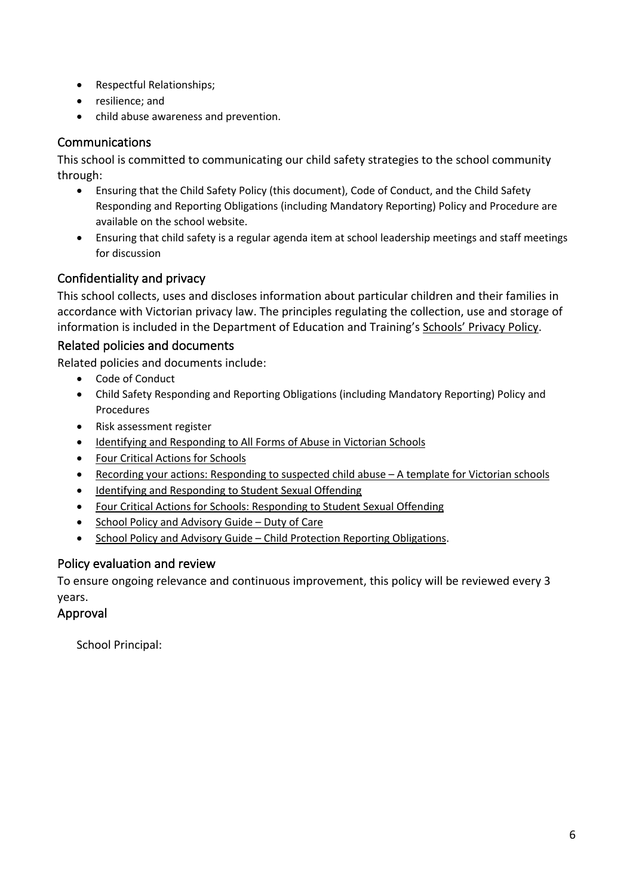- Respectful Relationships;
- resilience; and
- child abuse awareness and prevention.

# Communications

This school is committed to communicating our child safety strategies to the school community through:

- Ensuring that the Child Safety Policy (this document), Code of Conduct, and the Child Safety Responding and Reporting Obligations (including Mandatory Reporting) Policy and Procedure are available on the school website.
- Ensuring that child safety is a regular agenda item at school leadership meetings and staff meetings for discussion

# Confidentiality and privacy

This school collects, uses and discloses information about particular children and their families in accordance with Victorian privacy law. The principles regulating the collection, use and storage of information is included in the Department of Education and Training's Schools' Privacy Policy.

## Related policies and documents

Related policies and documents include:

- Code of Conduct
- Child Safety Responding and Reporting Obligations (including Mandatory Reporting) Policy and Procedures
- Risk assessment register
- Identifying and Responding to All Forms of Abuse in Victorian Schools
- Four Critical Actions for Schools
- Recording your actions: Responding to suspected child abuse A template for Victorian schools
- Identifying and Responding to Student Sexual Offending
- Four Critical Actions for Schools: Responding to Student Sexual Offending
- School Policy and Advisory Guide Duty of Care
- School Policy and Advisory Guide Child Protection Reporting Obligations.

#### Policy evaluation and review

To ensure ongoing relevance and continuous improvement, this policy will be reviewed every 3 years.

#### Approval

School Principal: